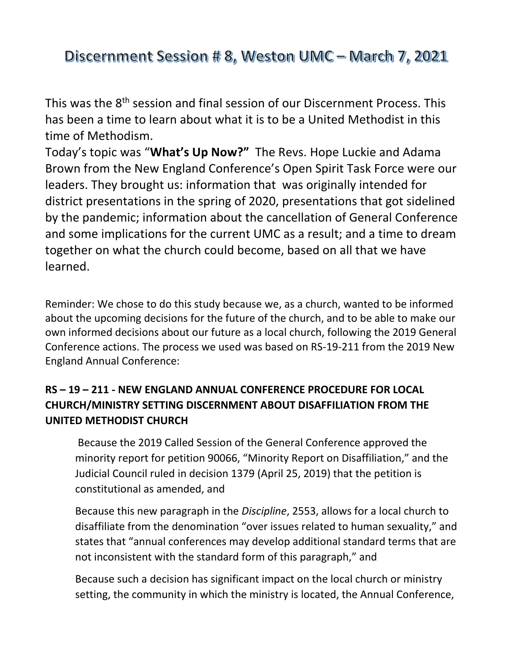Discernment Session # 8, Weston UMC - March 7, 2021

This was the 8th session and final session of our Discernment Process. This has been a time to learn about what it is to be a United Methodist in this time of Methodism.

Today's topic was "**What's Up Now?"** The Revs. Hope Luckie and Adama Brown from the New England Conference's Open Spirit Task Force were our leaders. They brought us: information that was originally intended for district presentations in the spring of 2020, presentations that got sidelined by the pandemic; information about the cancellation of General Conference and some implications for the current UMC as a result; and a time to dream together on what the church could become, based on all that we have learned.

Reminder: We chose to do this study because we, as a church, wanted to be informed about the upcoming decisions for the future of the church, and to be able to make our own informed decisions about our future as a local church, following the 2019 General Conference actions. The process we used was based on RS-19-211 from the 2019 New England Annual Conference:

## **RS – 19 – 211 - NEW ENGLAND ANNUAL CONFERENCE PROCEDURE FOR LOCAL CHURCH/MINISTRY SETTING DISCERNMENT ABOUT DISAFFILIATION FROM THE UNITED METHODIST CHURCH**

 Because the 2019 Called Session of the General Conference approved the minority report for petition 90066, "Minority Report on Disaffiliation," and the Judicial Council ruled in decision 1379 (April 25, 2019) that the petition is constitutional as amended, and

Because this new paragraph in the *Discipline*, 2553, allows for a local church to disaffiliate from the denomination "over issues related to human sexuality," and states that "annual conferences may develop additional standard terms that are not inconsistent with the standard form of this paragraph," and

Because such a decision has significant impact on the local church or ministry setting, the community in which the ministry is located, the Annual Conference,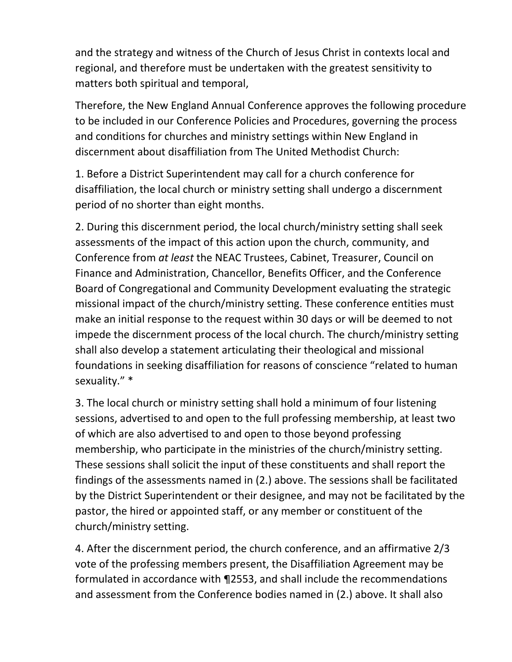and the strategy and witness of the Church of Jesus Christ in contexts local and regional, and therefore must be undertaken with the greatest sensitivity to matters both spiritual and temporal,

Therefore, the New England Annual Conference approves the following procedure to be included in our Conference Policies and Procedures, governing the process and conditions for churches and ministry settings within New England in discernment about disaffiliation from The United Methodist Church:

1. Before a District Superintendent may call for a church conference for disaffiliation, the local church or ministry setting shall undergo a discernment period of no shorter than eight months.

2. During this discernment period, the local church/ministry setting shall seek assessments of the impact of this action upon the church, community, and Conference from *at least* the NEAC Trustees, Cabinet, Treasurer, Council on Finance and Administration, Chancellor, Benefits Officer, and the Conference Board of Congregational and Community Development evaluating the strategic missional impact of the church/ministry setting. These conference entities must make an initial response to the request within 30 days or will be deemed to not impede the discernment process of the local church. The church/ministry setting shall also develop a statement articulating their theological and missional foundations in seeking disaffiliation for reasons of conscience "related to human sexuality." \*

3. The local church or ministry setting shall hold a minimum of four listening sessions, advertised to and open to the full professing membership, at least two of which are also advertised to and open to those beyond professing membership, who participate in the ministries of the church/ministry setting. These sessions shall solicit the input of these constituents and shall report the findings of the assessments named in (2.) above. The sessions shall be facilitated by the District Superintendent or their designee, and may not be facilitated by the pastor, the hired or appointed staff, or any member or constituent of the church/ministry setting.

4. After the discernment period, the church conference, and an affirmative 2/3 vote of the professing members present, the Disaffiliation Agreement may be formulated in accordance with ¶2553, and shall include the recommendations and assessment from the Conference bodies named in (2.) above. It shall also